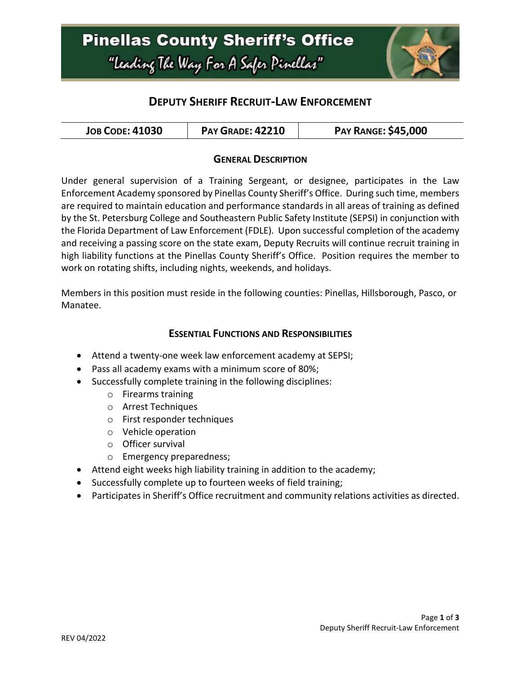## **Pinellas County Sheriff's Office** "Leading The Way For A Safer Pinellas"



## **DEPUTY SHERIFF RECRUIT-LAW ENFORCEMENT**

| <b>PAY GRADE: 42210</b><br><b>JOB CODE: 41030</b> | <b>PAY RANGE: \$45,000</b> |
|---------------------------------------------------|----------------------------|
|---------------------------------------------------|----------------------------|

#### **GENERAL DESCRIPTION**

Under general supervision of a Training Sergeant, or designee, participates in the Law Enforcement Academy sponsored by Pinellas County Sheriff's Office. During such time, members are required to maintain education and performance standards in all areas of training as defined by the St. Petersburg College and Southeastern Public Safety Institute (SEPSI) in conjunction with the Florida Department of Law Enforcement (FDLE). Upon successful completion of the academy and receiving a passing score on the state exam, Deputy Recruits will continue recruit training in high liability functions at the Pinellas County Sheriff's Office. Position requires the member to work on rotating shifts, including nights, weekends, and holidays.

Members in this position must reside in the following counties: Pinellas, Hillsborough, Pasco, or Manatee.

#### **ESSENTIAL FUNCTIONS AND RESPONSIBILITIES**

- Attend a twenty-one week law enforcement academy at SEPSI;
- Pass all academy exams with a minimum score of 80%;
- Successfully complete training in the following disciplines:
	- o Firearms training
	- o Arrest Techniques
	- o First responder techniques
	- o Vehicle operation
	- o Officer survival
	- o Emergency preparedness;
- Attend eight weeks high liability training in addition to the academy;
- Successfully complete up to fourteen weeks of field training;
- Participates in Sheriff's Office recruitment and community relations activities as directed.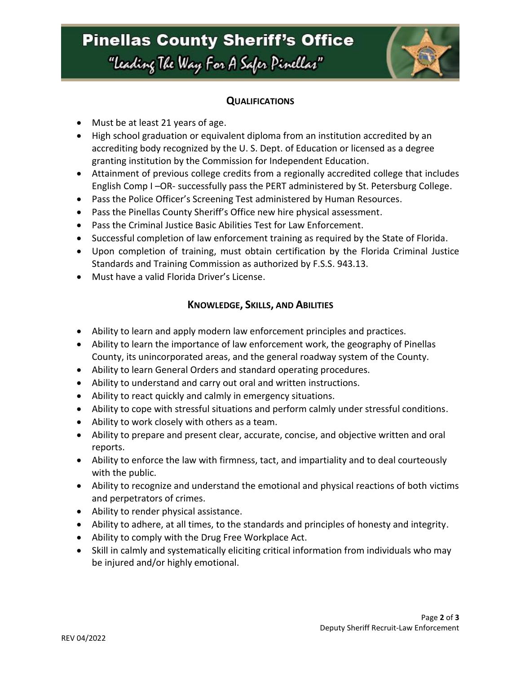## **Pinellas County Sheriff's Office** "Leading The Way For A Safer Pinellar"



#### **QUALIFICATIONS**

- Must be at least 21 years of age.
- High school graduation or equivalent diploma from an institution accredited by an accrediting body recognized by the U. S. Dept. of Education or licensed as a degree granting institution by the Commission for Independent Education.
- Attainment of previous college credits from a regionally accredited college that includes English Comp I –OR- successfully pass the PERT administered by St. Petersburg College.
- Pass the Police Officer's Screening Test administered by Human Resources.
- Pass the Pinellas County Sheriff's Office new hire physical assessment.
- Pass the Criminal Justice Basic Abilities Test for Law Enforcement.
- Successful completion of law enforcement training as required by the State of Florida.
- Upon completion of training, must obtain certification by the Florida Criminal Justice Standards and Training Commission as authorized by F.S.S. 943.13.
- Must have a valid Florida Driver's License.

### **KNOWLEDGE, SKILLS, AND ABILITIES**

- Ability to learn and apply modern law enforcement principles and practices.
- Ability to learn the importance of law enforcement work, the geography of Pinellas County, its unincorporated areas, and the general roadway system of the County.
- Ability to learn General Orders and standard operating procedures.
- Ability to understand and carry out oral and written instructions.
- Ability to react quickly and calmly in emergency situations.
- Ability to cope with stressful situations and perform calmly under stressful conditions.
- Ability to work closely with others as a team.
- Ability to prepare and present clear, accurate, concise, and objective written and oral reports.
- Ability to enforce the law with firmness, tact, and impartiality and to deal courteously with the public.
- Ability to recognize and understand the emotional and physical reactions of both victims and perpetrators of crimes.
- Ability to render physical assistance.
- Ability to adhere, at all times, to the standards and principles of honesty and integrity.
- Ability to comply with the Drug Free Workplace Act.
- Skill in calmly and systematically eliciting critical information from individuals who may be injured and/or highly emotional.